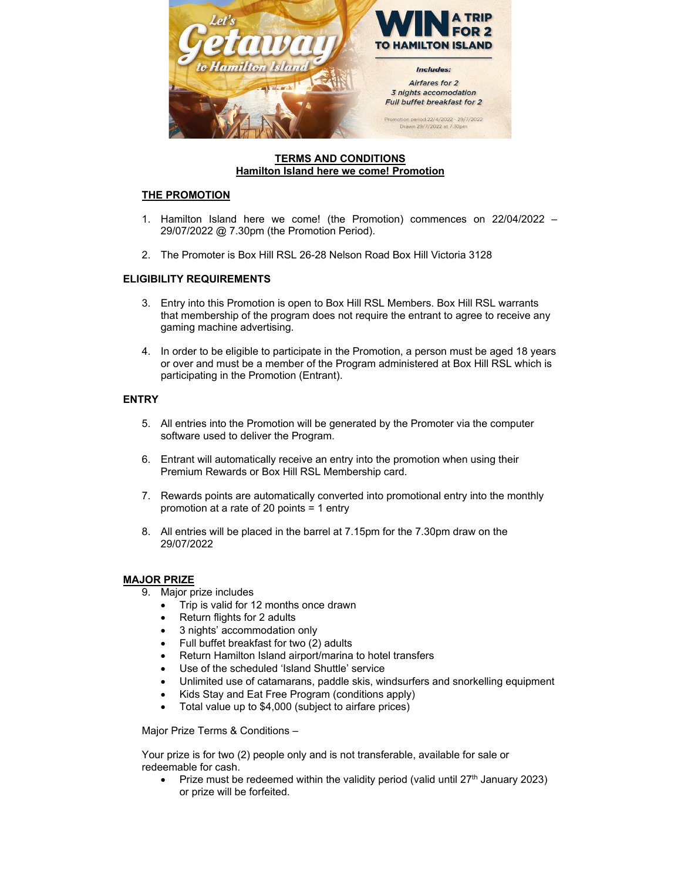

### **TERMS AND CONDITIONS Hamilton Island here we come! Promotion**

# **THE PROMOTION**

- 1. Hamilton Island here we come! (the Promotion) commences on 22/04/2022 29/07/2022 @ 7.30pm (the Promotion Period).
- 2. The Promoter is Box Hill RSL 26-28 Nelson Road Box Hill Victoria 3128

# **ELIGIBILITY REQUIREMENTS**

- 3. Entry into this Promotion is open to Box Hill RSL Members. Box Hill RSL warrants that membership of the program does not require the entrant to agree to receive any gaming machine advertising.
- 4. In order to be eligible to participate in the Promotion, a person must be aged 18 years or over and must be a member of the Program administered at Box Hill RSL which is participating in the Promotion (Entrant).

### **ENTRY**

- 5. All entries into the Promotion will be generated by the Promoter via the computer software used to deliver the Program.
- 6. Entrant will automatically receive an entry into the promotion when using their Premium Rewards or Box Hill RSL Membership card.
- 7. Rewards points are automatically converted into promotional entry into the monthly promotion at a rate of 20 points = 1 entry
- 8. All entries will be placed in the barrel at 7.15pm for the 7.30pm draw on the 29/07/2022

# **MAJOR PRIZE**

- 9. Major prize includes
	- Trip is valid for 12 months once drawn
	- Return flights for 2 adults
	- 3 nights' accommodation only
	- Full buffet breakfast for two (2) adults
	- Return Hamilton Island airport/marina to hotel transfers
	- Use of the scheduled 'Island Shuttle' service
	- Unlimited use of catamarans, paddle skis, windsurfers and snorkelling equipment
	- Kids Stay and Eat Free Program (conditions apply)
	- Total value up to \$4,000 (subject to airfare prices)

Major Prize Terms & Conditions –

Your prize is for two (2) people only and is not transferable, available for sale or redeemable for cash.

Prize must be redeemed within the validity period (valid until  $27<sup>th</sup>$  January 2023) or prize will be forfeited.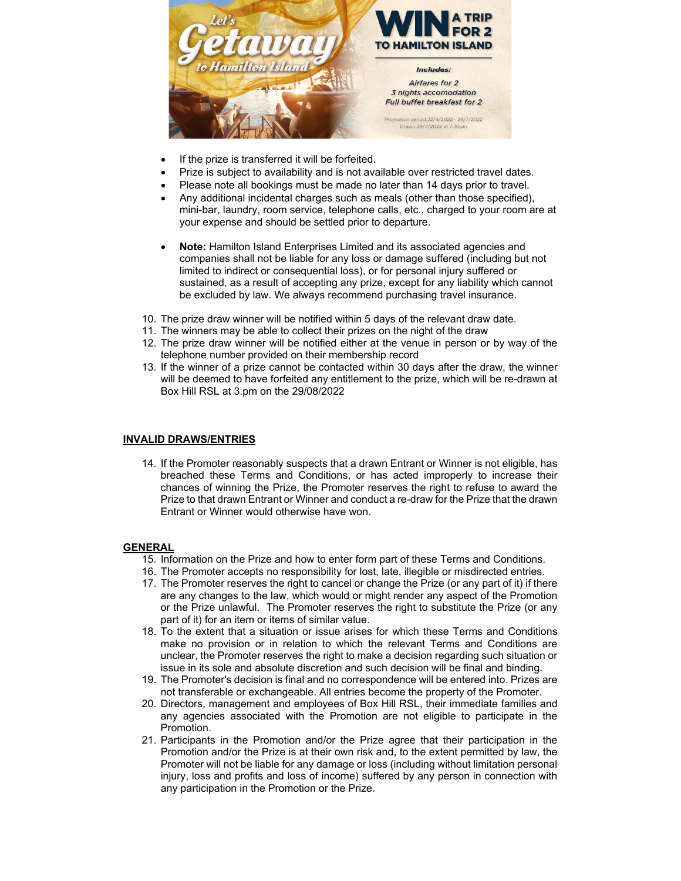

- If the prize is transferred it will be forfeited.
- Prize is subject to availability and is not available over restricted travel dates.
- Please note all bookings must be made no later than 14 days prior to travel.
- Any additional incidental charges such as meals (other than those specified), mini-bar, laundry, room service, telephone calls, etc., charged to your room are at your expense and should be settled prior to departure.
- **Note:** Hamilton Island Enterprises Limited and its associated agencies and companies shall not be liable for any loss or damage suffered (including but not limited to indirect or consequential loss), or for personal injury suffered or sustained, as a result of accepting any prize, except for any liability which cannot be excluded by law. We always recommend purchasing travel insurance.
- 10. The prize draw winner will be notified within 5 days of the relevant draw date.
- 11. The winners may be able to collect their prizes on the night of the draw
- 12. The prize draw winner will be notified either at the venue in person or by way of the telephone number provided on their membership record
- 13. If the winner of a prize cannot be contacted within 30 days after the draw, the winner will be deemed to have forfeited any entitlement to the prize, which will be re-drawn at Box Hill RSL at 3.pm on the 29/08/2022

#### **INVALID DRAWS/ENTRIES**

14. If the Promoter reasonably suspects that a drawn Entrant or Winner is not eligible, has breached these Terms and Conditions, or has acted improperly to increase their chances of winning the Prize, the Promoter reserves the right to refuse to award the Prize to that drawn Entrant or Winner and conduct a re-draw for the Prize that the drawn Entrant or Winner would otherwise have won.

#### **GENERAL**

- 15. Information on the Prize and how to enter form part of these Terms and Conditions.
- 16. The Promoter accepts no responsibility for lost, late, illegible or misdirected entries.
- 17. The Promoter reserves the right to cancel or change the Prize (or any part of it) if there are any changes to the law, which would or might render any aspect of the Promotion or the Prize unlawful. The Promoter reserves the right to substitute the Prize (or any part of it) for an item or items of similar value.
- 18. To the extent that a situation or issue arises for which these Terms and Conditions make no provision or in relation to which the relevant Terms and Conditions are unclear, the Promoter reserves the right to make a decision regarding such situation or issue in its sole and absolute discretion and such decision will be final and binding.
- 19. The Promoter's decision is final and no correspondence will be entered into. Prizes are not transferable or exchangeable. All entries become the property of the Promoter.
- 20. Directors, management and employees of Box Hill RSL, their immediate families and any agencies associated with the Promotion are not eligible to participate in the Promotion.
- 21. Participants in the Promotion and/or the Prize agree that their participation in the Promotion and/or the Prize is at their own risk and, to the extent permitted by law, the Promoter will not be liable for any damage or loss (including without limitation personal injury, loss and profits and loss of income) suffered by any person in connection with any participation in the Promotion or the Prize.